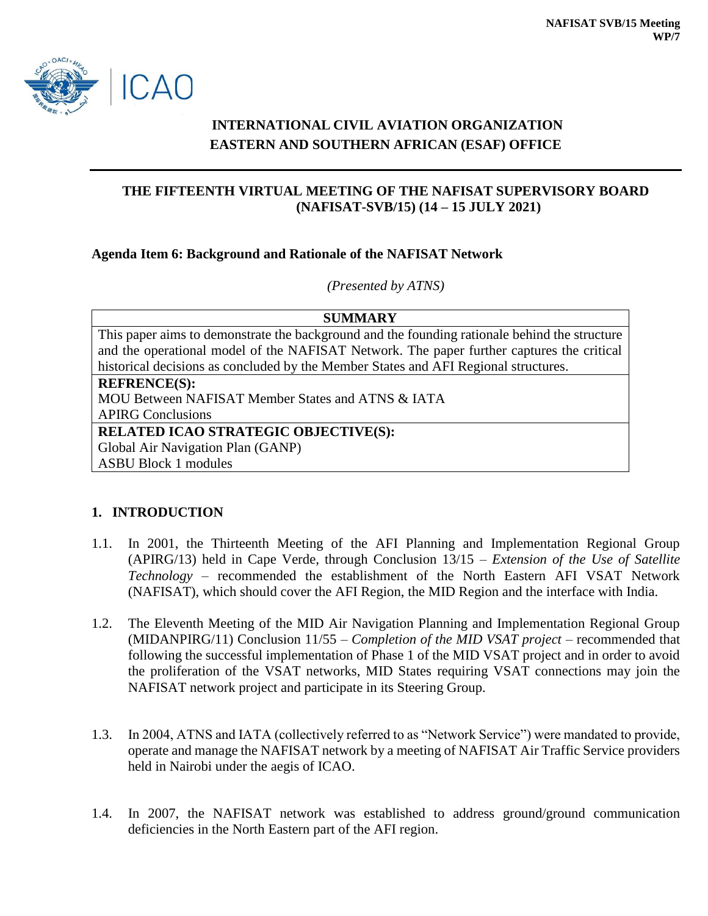

# **INTERNATIONAL CIVIL AVIATION ORGANIZATION EASTERN AND SOUTHERN AFRICAN (ESAF) OFFICE**

## **THE FIFTEENTH VIRTUAL MEETING OF THE NAFISAT SUPERVISORY BOARD (NAFISAT-SVB/15) (14 – 15 JULY 2021)**

#### **Agenda Item 6: Background and Rationale of the NAFISAT Network**

*(Presented by ATNS)*

| <b>SUMMARY</b> |                                                                                               |
|----------------|-----------------------------------------------------------------------------------------------|
|                | This paper aims to demonstrate the background and the founding rationale behind the structure |
|                | and the operational model of the NAFISAT Network. The paper further captures the critical     |
|                | historical decisions as concluded by the Member States and AFI Regional structures.           |
|                | <b>REFRENCE(S):</b>                                                                           |
|                | MOU Between NAFISAT Member States and ATNS & IATA                                             |
|                | <b>APIRG Conclusions</b>                                                                      |
|                | <b>RELATED ICAO STRATEGIC OBJECTIVE(S):</b>                                                   |
|                | Global Air Navigation Plan (GANP)                                                             |
|                | <b>ASBU Block 1 modules</b>                                                                   |

### **1. INTRODUCTION**

- 1.1. In 2001, the Thirteenth Meeting of the AFI Planning and Implementation Regional Group (APIRG/13) held in Cape Verde, through Conclusion 13/15 – *Extension of the Use of Satellite Technology* – recommended the establishment of the North Eastern AFI VSAT Network (NAFISAT), which should cover the AFI Region, the MID Region and the interface with India.
- 1.2. The Eleventh Meeting of the MID Air Navigation Planning and Implementation Regional Group (MIDANPIRG/11) Conclusion 11/55 – *Completion of the MID VSAT project* – recommended that following the successful implementation of Phase 1 of the MID VSAT project and in order to avoid the proliferation of the VSAT networks, MID States requiring VSAT connections may join the NAFISAT network project and participate in its Steering Group.
- 1.3. In 2004, ATNS and IATA (collectively referred to as "Network Service") were mandated to provide, operate and manage the NAFISAT network by a meeting of NAFISAT Air Traffic Service providers held in Nairobi under the aegis of ICAO.
- 1.4. In 2007, the NAFISAT network was established to address ground/ground communication deficiencies in the North Eastern part of the AFI region.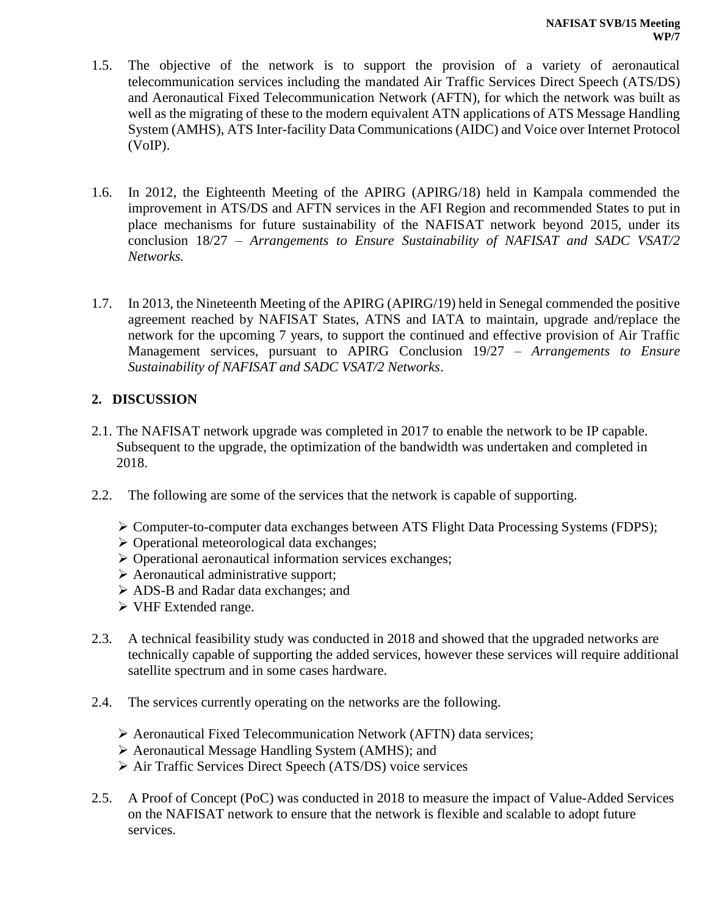- 1.5. The objective of the network is to support the provision of a variety of aeronautical telecommunication services including the mandated Air Traffic Services Direct Speech (ATS/DS) and Aeronautical Fixed Telecommunication Network (AFTN), for which the network was built as well as the migrating of these to the modern equivalent ATN applications of ATS Message Handling System (AMHS), ATS Inter-facility Data Communications (AIDC) and Voice over Internet Protocol (VoIP).
- 1.6. In 2012, the Eighteenth Meeting of the APIRG (APIRG/18) held in Kampala commended the improvement in ATS/DS and AFTN services in the AFI Region and recommended States to put in place mechanisms for future sustainability of the NAFISAT network beyond 2015, under its conclusion 18/27 – *Arrangements to Ensure Sustainability of NAFISAT and SADC VSAT/2 Networks.*
- 1.7. In 2013, the Nineteenth Meeting of the APIRG (APIRG/19) held in Senegal commended the positive agreement reached by NAFISAT States, ATNS and IATA to maintain, upgrade and/replace the network for the upcoming 7 years, to support the continued and effective provision of Air Traffic Management services, pursuant to APIRG Conclusion 19/27 – *Arrangements to Ensure Sustainability of NAFISAT and SADC VSAT/2 Networks*.

### **2. DISCUSSION**

- 2.1. The NAFISAT network upgrade was completed in 2017 to enable the network to be IP capable. Subsequent to the upgrade, the optimization of the bandwidth was undertaken and completed in 2018.
- 2.2. The following are some of the services that the network is capable of supporting.
	- Computer-to-computer data exchanges between ATS Flight Data Processing Systems (FDPS);
	- $\triangleright$  Operational meteorological data exchanges;
	- $\triangleright$  Operational aeronautical information services exchanges;
	- $\triangleright$  Aeronautical administrative support;
	- ADS-B and Radar data exchanges; and
	- VHF Extended range.
- 2.3. A technical feasibility study was conducted in 2018 and showed that the upgraded networks are technically capable of supporting the added services, however these services will require additional satellite spectrum and in some cases hardware.
- 2.4. The services currently operating on the networks are the following.
	- Aeronautical Fixed Telecommunication Network (AFTN) data services;
	- Aeronautical Message Handling System (AMHS); and
	- Air Traffic Services Direct Speech (ATS/DS) voice services
- 2.5. A Proof of Concept (PoC) was conducted in 2018 to measure the impact of Value-Added Services on the NAFISAT network to ensure that the network is flexible and scalable to adopt future services.